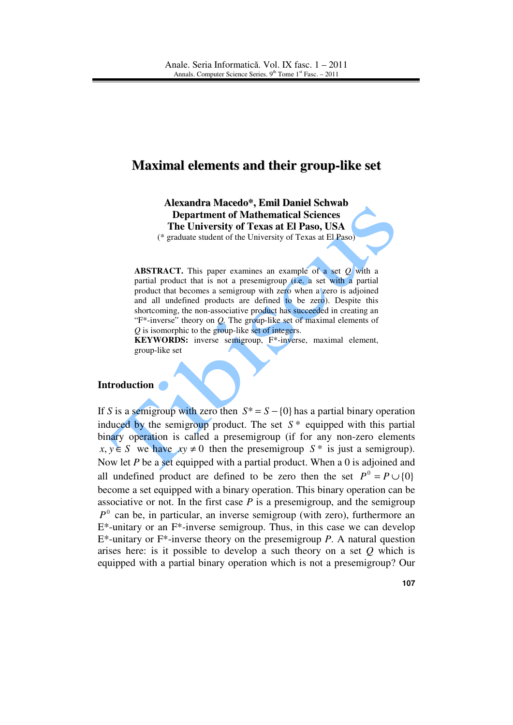# **Maximal elements and their group-like set**

**Alexandra Macedo\*, Emil Daniel Schwab Department of Mathematical Sciences The University of Texas at El Paso, USA** 

(\* graduate student of the University of Texas at El Paso)

**ABSTRACT.** This paper examines an example of a set *Q* with a partial product that is not a presemigroup (i.e. a set with a partial product that becomes a semigroup with zero when a zero is adjoined and all undefined products are defined to be zero). Despite this shortcoming, the non-associative product has succeeded in creating an "F\*-inverse" theory on *Q.* The group-like set of maximal elements of *Q* is isomorphic to the group-like set of integers.

**KEYWORDS:** inverse semigroup, F\*-inverse, maximal element, group-like set

#### **Introduction**

If *S* is a semigroup with zero then  $S^* = S - \{0\}$  has a partial binary operation induced by the semigroup product. The set  $S^*$  equipped with this partial binary operation is called a presemigroup (if for any non-zero elements  $x, y \in S$  we have  $xy \neq 0$  then the presemigroup  $S^*$  is just a semigroup). Now let *P* be a set equipped with a partial product. When a 0 is adjoined and all undefined product are defined to be zero then the set  $P^0 = P \cup \{0\}$ become a set equipped with a binary operation. This binary operation can be associative or not. In the first case  $P$  is a presemigroup, and the semigroup  $P^0$  can be, in particular, an inverse semigroup (with zero), furthermore an  $E^*$ -unitary or an  $F^*$ -inverse semigroup. Thus, in this case we can develop E\*-unitary or F\*-inverse theory on the presemigroup *P*. A natural question arises here: is it possible to develop a such theory on a set *Q* which is equipped with a partial binary operation which is not a presemigroup? Our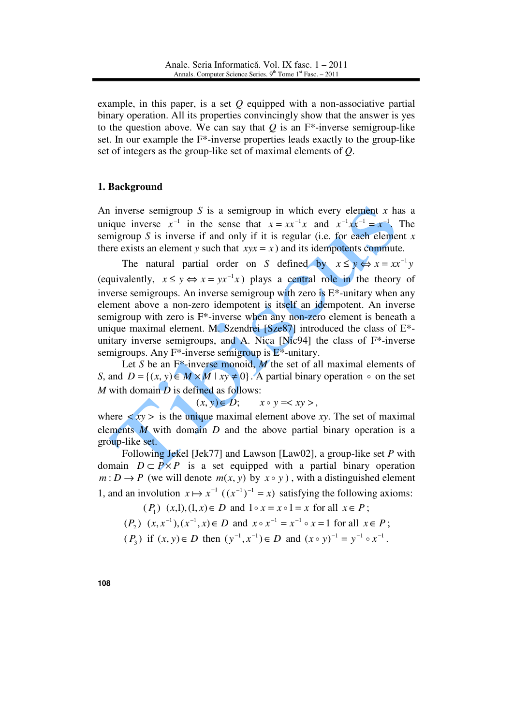example, in this paper, is a set *Q* equipped with a non-associative partial binary operation. All its properties convincingly show that the answer is yes to the question above. We can say that *Q* is an F\*-inverse semigroup-like set. In our example the F\*-inverse properties leads exactly to the group-like set of integers as the group-like set of maximal elements of *Q*.

## **1. Background**

An inverse semigroup  $S$  is a semigroup in which every element  $x$  has a unique inverse  $x^{-1}$  in the sense that  $x = xx^{-1}x$  and  $x^{-1}xx^{-1} = x^{-1}$ . The semigroup *S* is inverse if and only if it is regular (i.e. for each element  $x$ there exists an element *y* such that  $xyx = x$  ) and its idempotents commute.

The natural partial order on *S* defined by  $x \le y \Leftrightarrow x = xx^{-1}y$ (equivalently,  $x \le y \Leftrightarrow x = yx^{-1}x$ ) plays a central role in the theory of inverse semigroups. An inverse semigroup with zero is  $E^*$ -unitary when any element above a non-zero idempotent is itself an idempotent. An inverse semigroup with zero is F\*-inverse when any non-zero element is beneath a unique maximal element. M. Szendrei  $[Sz \cdot 87]$  introduced the class of  $E^*$ unitary inverse semigroups, and A. Nica [Nic94] the class of F\*-inverse semigroups. Any  $F^*$ -inverse semigroup is  $E^*$ -unitary.

Let *S* be an F<sup>\*</sup>-inverse monoid, *M* the set of all maximal elements of *S*, and  $D = \{(x, y) \in M \times M \mid xy \neq 0\}$ . A partial binary operation  $\circ$  on the set *M* with domain *D* is defined as follows:

 $(x, y) \in D$ ;  $x \circ y = \langle xy \rangle$ ,

where  $\langle xy \rangle$  is the unique maximal element above *xy*. The set of maximal elements *M* with domain *D* and the above partial binary operation is a group-like set.

Following Jekel [Jek77] and Lawson [Law02], a group-like set *P* with domain  $D \subset P \times P$  is a set equipped with a partial binary operation  $m: D \to P$  (we will denote  $m(x, y)$  by  $x \circ y$ ), with a distinguished element 1, and an involution  $x \mapsto x^{-1} ((x^{-1})^{-1} = x)$  satisfying the following axioms:

 $(P_1)$   $(x,1), (1,x) \in D$  and  $1 \circ x = x \circ 1 = x$  for all  $x \in P$ ;  $(P_2)$   $(x, x^{-1}), (x^{-1}, x) \in D$  and  $x \circ x^{-1} = x^{-1} \circ x = 1$  for all  $x \in P$ ;

 $(P_3)$  if  $(x, y) \in D$  then  $(y^{-1}, x^{-1}) \in D$  and  $(x \circ y)^{-1} = y^{-1} \circ x^{-1}$ .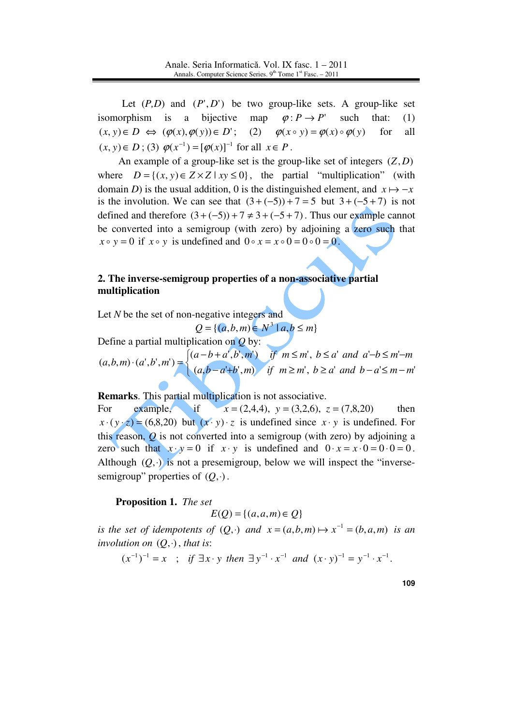Let  $(P,D)$  and  $(P',D')$  be two group-like sets. A group-like set isomorphism is a bijective map  $\varphi: P \to P'$  such that: (1)  $(x, y) \in D \iff (\varphi(x), \varphi(y)) \in D'$ ; (2)  $\varphi(x \circ y) = \varphi(x) \circ \varphi(y)$  for all  $(x, y) \in D$ ; (3)  $\varphi(x^{-1}) = [\varphi(x)]^{-1}$  for all  $x \in P$ .

 An example of a group-like set is the group-like set of integers (*Z*, *D*) where  $D = \{(x, y) \in Z \times Z \mid xy \le 0\}$ , the partial "multiplication" (with domain *D*) is the usual addition, 0 is the distinguished element, and  $x \mapsto -x$ is the involution. We can see that  $(3 + (-5)) + 7 = 5$  but  $3 + (-5 + 7)$  is not defined and therefore  $(3 + (-5)) + 7 \neq 3 + (-5 + 7)$ . Thus our example cannot be converted into a semigroup (with zero) by adjoining a zero such that  $x \circ y = 0$  if  $x \circ y$  is undefined and  $0 \circ x = x \circ 0 = 0 \circ 0 = 0$ .

## **2. The inverse-semigroup properties of a non-associative partial multiplication**

Let *N* be the set of non-negative integers and

 ${Q} = \{ (a, b, m) \in N^3 \mid a, b \le m \}$ 

Define a partial multiplication on *Q* by:

 $\mathfrak{b}$ ₹  $\int$  $(a-a+b',m)$  if  $m \ge m'$ ,  $b \ge a'$  and  $b-a' \le m -b+a',b',m')$  if  $m \leq m'$ ,  $b \leq a'$  and  $a'-b \leq m'$  $(a', b', m') =$  $(a, b-a'+b', m)$  if  $m \ge m'$ ,  $b \ge a'$  and  $b-a' \le m-m'$  $(a-b+a', b', m')$  if  $m \leq m'$ ,  $b \leq a'$  and  $a'-b \leq m'$  $(a, b, m) \cdot (a', b', m')$  $a, b - a' + b', m$  if  $m \ge m'$ ,  $b \ge a'$  and  $b - a' \le m - m$  $a-b+a', b', m'$ ) if  $m \leq m'$ ,  $b \leq a'$  and  $a'-b \leq m'-m$  $a, b, m) \cdot (a', b', m)$ 

**Remarks**. This partial multiplication is not associative.

For example, if  $x = (2,4,4)$ ,  $y = (3,2,6)$ ,  $z = (7,8,20)$  then  $x \cdot (y \cdot z) = (6,8,20)$  but  $(x \cdot y) \cdot z$  is undefined since  $x \cdot y$  is undefined. For this reason, *Q* is not converted into a semigroup (with zero) by adjoining a zero such that  $x \cdot y = 0$  if  $x \cdot y$  is undefined and  $0 \cdot x = x \cdot 0 = 0 \cdot 0 = 0$ . Although  $(Q, \cdot)$  is not a presemigroup, below we will inspect the "inversesemigroup" properties of  $(0, \cdot)$ .

#### **Proposition 1.** *The set*

 $E(O) = \{(a, a, m) \in O\}$ 

*is the set of idempotents of*  $(Q, \cdot)$  *and*  $x = (a,b,m) \mapsto x^{-1} = (b,a,m)$  *is an involution on*  $(Q, \cdot)$ , *that is:* 

 $(x^{-1})^{-1} = x$ ; if  $\exists x \cdot y$  then  $\exists y^{-1} \cdot x^{-1}$  and  $(x \cdot y)^{-1} = y^{-1} \cdot x^{-1}$ .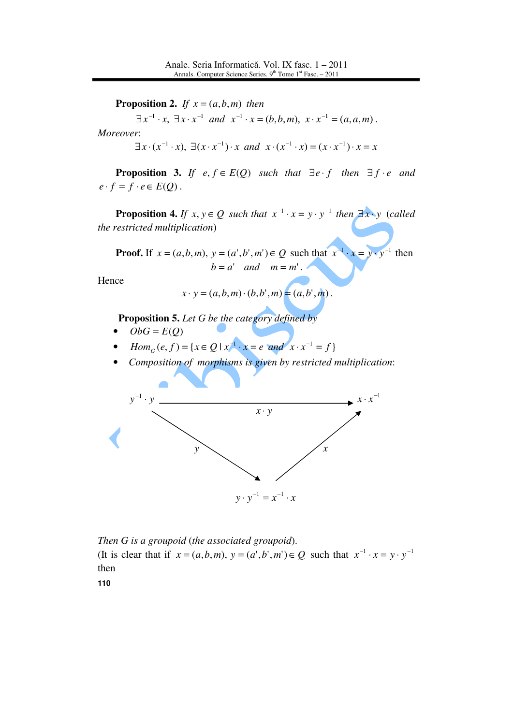**Proposition 2.** *If*  $x = (a, b, m)$  *then* 

 $\exists x^{-1} \cdot x, \ \exists x \cdot x^{-1} \ \text{and} \ \ x^{-1} \cdot x = (b, b, m), \ x \cdot x^{-1} = (a, a, m).$ *Moreover*:

$$
\exists x \cdot (x^{-1} \cdot x), \exists (x \cdot x^{-1}) \cdot x \text{ and } x \cdot (x^{-1} \cdot x) = (x \cdot x^{-1}) \cdot x = x
$$

**Proposition 3.** *If*  $e, f \in E(Q)$  *such that*  $\exists e \cdot f$  *then*  $\exists f \cdot e$  *and*  $e \cdot f = f \cdot e \in E(Q)$ .

**Proposition 4.** *If*  $x, y \in Q$  *such that*  $x^{-1} \cdot x = y \cdot y^{-1}$  *then*  $\exists x \cdot y$  (*called the restricted multiplication*)

**Proof.** If  $x = (a, b, m)$ ,  $y = (a', b', m') \in Q$  such that  $x^{-1} \cdot x = y \cdot y^{-1}$  then  $b = a'$  *and*  $m = m'$ .

Hence

$$
x \cdot y = (a, b, m) \cdot (b, b', m) = (a, b', m)
$$
.

**Proposition 5.** *Let G be the category defined by* 

- $ObG = E(Q)$
- $Hom_G(e, f) = \{x \in Q \mid x^{-1} \cdot x = e \text{ and } x \cdot x^{-1} = f\}$
- *Composition of morphisms is given by restricted multiplication*:



*Then G is a groupoid* (*the associated groupoid*). (It is clear that if  $x = (a,b,m)$ ,  $y = (a',b',m') \in Q$  such that  $x^{-1} \cdot x = y \cdot y^{-1}$ then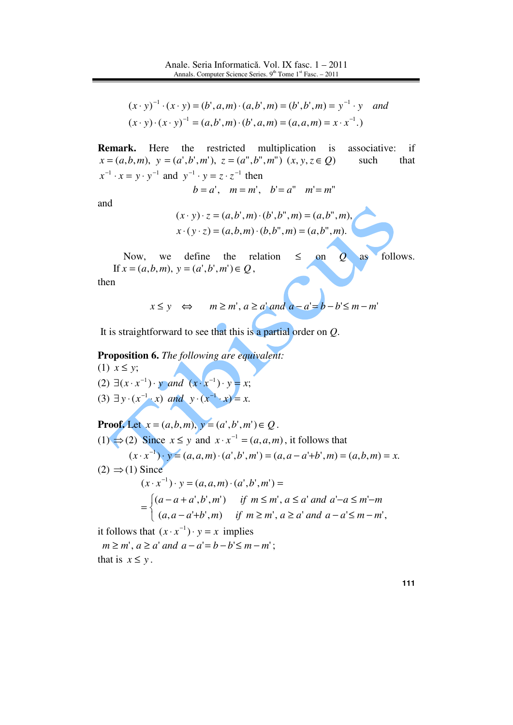$$
(x \cdot y)^{-1} \cdot (x \cdot y) = (b', a, m) \cdot (a, b', m) = (b', b', m) = y^{-1} \cdot y \quad and
$$
  

$$
(x \cdot y) \cdot (x \cdot y)^{-1} = (a, b', m) \cdot (b', a, m) = (a, a, m) = x \cdot x^{-1}.
$$

**Remark.** Here the restricted multiplication is associative: if  $x = (a, b, m), y = (a', b', m'), z = (a'', b'', m'') (x, y, z \in Q)$  such that  $x^{-1} \cdot x = y \cdot y^{-1}$  and  $y^{-1} \cdot y = z \cdot z^{-1}$  then

$$
b = a', \quad m = m', \quad b' = a'' \quad m' = m''
$$

and

$$
(x \cdot y) \cdot z = (a, b', m) \cdot (b', b'', m) = (a, b'', m),
$$
  

$$
x \cdot (y \cdot z) = (a, b, m) \cdot (b, b'', m) = (a, b'', m).
$$

١

Now, we define the relation  $\leq$  on  $\mathcal{Q}$  as follows. If  $x = (a, b, m), y = (a', b', m') \in Q$ ,

then

$$
x \le y \iff m \ge m', a \ge a' \text{ and } a - a' = b - b' \le m - m'
$$

It is straightforward to see that this is a partial order on *Q*.

**Proposition 6.** *The following are equivalent:* (1) *x* ≤ *y*;  $(2) \exists (x \cdot x^{-1}) \cdot y$  and  $(x \cdot x^{-1}) \cdot y = x$ ;

 $(3) \exists y \cdot (x^{-1} \cdot x) \text{ and } y \cdot (x^{-1} \cdot x) = x.$ 

Proof. Let 
$$
x = (a,b,m)
$$
,  $y = (a',b',m') \in Q$ .  
\n(1)  $\Rightarrow$  (2) Since  $x \le y$  and  $x \cdot x^{-1} = (a,a,m)$ , it follows that  
\n $(x \cdot x^{-1}) \cdot y = (a,a,m) \cdot (a',b',m') = (a,a-a'+b',m) = (a,b,m) = x$ .  
\n(2)  $\Rightarrow$  (1) Since  
\n $(x \cdot x^{-1}) \cdot y = (a,a,m) \cdot (a',b',m') =$   
\n $= \begin{cases} (a-a+a',b',m') & \text{if } m \le m', a \le a' \text{ and } a'-a \le m'-m \\ (a,a-a'+b',m) & \text{if } m \ge m', a \ge a' \text{ and } a-a' \le m-m', \end{cases}$   
\nit follows that  $(x \cdot x^{-1}) \cdot y = x$  implies

 $m \ge m'$ ,  $a \ge a'$  *and*  $a - a' = b - b' \le m - m'$ ; that is  $x \leq y$ .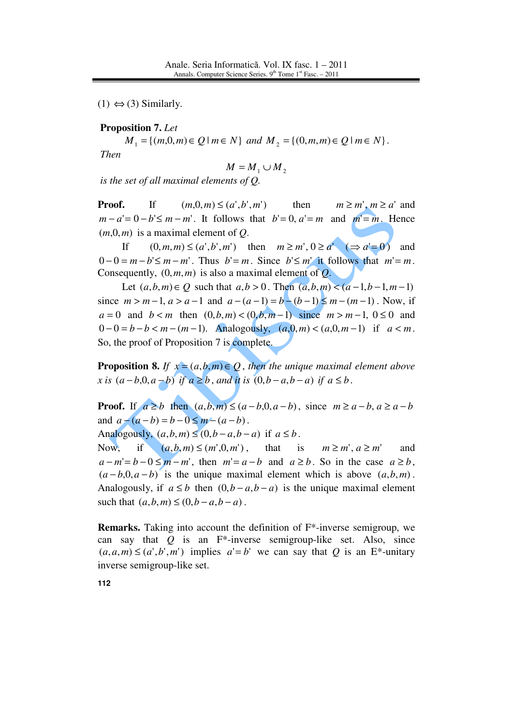$(1) \Leftrightarrow (3)$  Similarly.

### **Proposition 7.** *Let*

 $M_1 = \{(m, 0, m) \in Q \mid m \in N\}$  and  $M_2 = \{(0, m, m) \in Q \mid m \in N\}$ . *Then* 

$$
M = M_1 \cup M_2
$$

*is the set of all maximal elements of Q.* 

**Proof.** If  $(m,0,m) \leq (a',b',m')$  then  $m \geq m', m \geq a'$  and  $m - a' = 0 - b' \le m - m'$ . It follows that  $b' = 0$ ,  $a' = m$  and  $m' = m$ . Hence  $(m, 0, m)$  is a maximal element of  $Q$ .

If  $(0, m, m) \leq (a', b', m')$  then  $m \geq m', 0 \geq a'$   $(\Rightarrow a' = 0)$  and  $0-0=m-b' \le m-m'$ . Thus  $b'=m$ . Since  $b' \le m'$  it follows that  $m'=m$ . Consequently,  $(0, m, m)$  is also a maximal element of  $Q$ .

Let  $(a, b, m) \in Q$  such that  $a, b > 0$ . Then  $(a, b, m) < (a - 1, b - 1, m - 1)$ since  $m > m-1$ ,  $a > a-1$  and  $a-(a-1) = b-(b-1) \le m-(m-1)$ . Now, if  $a = 0$  and  $b < m$  then  $(0, b, m) < (0, b, m-1)$  since  $m > m-1, 0 \le 0$  and  $0 - 0 = b - b < m - (m - 1)$ . Analogously,  $(a, 0, m) < (a, 0, m - 1)$  if  $a < m$ . So, the proof of Proposition 7 is complete.

**Proposition 8.** *If*  $x = (a, b, m) \in Q$ , *then the unique maximal element above x* is  $(a - b, 0, a - b)$  *if*  $a \ge b$ , *and it is*  $(0, b - a, b - a)$  *if*  $a \le b$ .

**Proof.** If  $a \ge b$  then  $(a,b,m) \le (a-b,0,a-b)$ , since  $m \ge a-b$ ,  $a \ge a-b$ and  $a - (a - b) = b - 0 \le m - (a - b)$ .

Analogously,  $(a,b,m) \leq (0,b-a,b-a)$  if  $a \leq b$ .

Now, if  $(a, b, m) \le (m', 0, m')$ , that is  $m \ge m', a \ge m'$  and  $a - m' = b - 0 \le m - m'$ , then  $m' = a - b$  and  $a \ge b$ . So in the case  $a \ge b$ ,  $(a - b, 0, a - b)$  is the unique maximal element which is above  $(a, b, m)$ . Analogously, if  $a \leq b$  then  $(0, b - a, b - a)$  is the unique maximal element such that  $(a, b, m) \le (0, b - a, b - a)$ .

**Remarks.** Taking into account the definition of F\*-inverse semigroup, we can say that *Q* is an F\*-inverse semigroup-like set. Also, since  $(a, a, m) \leq (a', b', m')$  implies  $a' = b'$  we can say that *Q* is an E<sup>\*</sup>-unitary inverse semigroup-like set.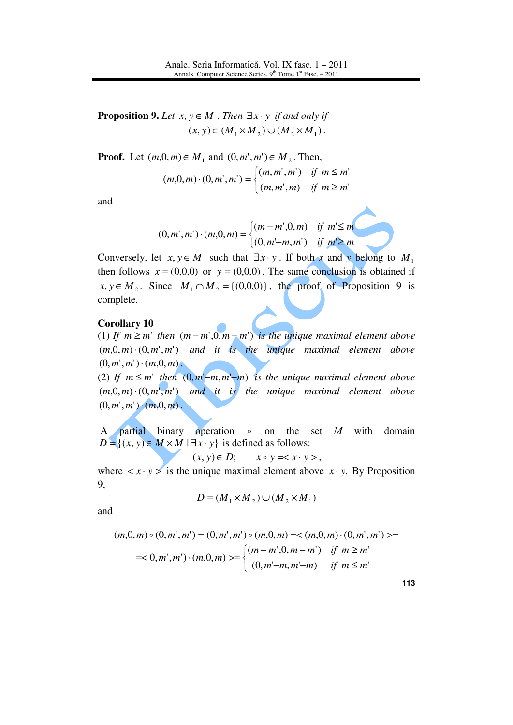**Proposition 9.** *Let*  $x, y \in M$  . Then  $\exists x \cdot y$  *if and only if*  $(x, y) \in (M_1 \times M_2) \cup (M_2 \times M_1)$ .

**Proof.** Let  $(m, 0, m) \in M_1$  and  $(0, m', m') \in M_2$ . Then,

$$
(m,0,m) \cdot (0,m',m') = \begin{cases} (m,m',m') & \text{if } m \le m' \\ (m,m',m) & \text{if } m \ge m' \end{cases}
$$

and

$$
(0, m', m') \cdot (m, 0, m) = \begin{cases} (m - m', 0, m) & \text{if } m' \le m \\ (0, m' - m, m') & \text{if } m' \ge m \end{cases}
$$

Conversely, let *x*,  $y \in M$  such that  $\exists x \cdot y$ . If both *x* and *y* belong to  $M_1$ then follows  $x = (0,0,0)$  or  $y = (0,0,0)$ . The same conclusion is obtained if  $x, y \in M_2$ . Since  $M_1 \cap M_2 = \{(0,0,0)\}\$ , the proof of Proposition 9 is complete.

#### **Corollary 10**

(1) If  $m \ge m'$  then  $(m - m', 0, m - m')$  is the unique maximal element above  $(m, 0, m) \cdot (0, m', m')$  and it is the unique maximal element above  $(0, m', m') \cdot (m, 0, m)$ .

(2) *If*  $m \le m'$  *then*  $(0, m'-m, m'-m)$  *is the unique maximal element above*  $(m,0,m)\cdot(0,m',m')$  and it is the unique maximal element above  $(0, m', m') \cdot (m, 0, m)$ .

 A partial binary operation o on the set *M* with domain  $D = \{(x, y) \in M \times M \mid \exists x \cdot y\}$  is defined as follows:

$$
(x, y) \in D; \qquad x \circ y = ,
$$

where  $\langle x \cdot y \rangle$  is the unique maximal element above  $\langle x \cdot y \rangle$ . By Proposition 9,

$$
D = (M_1 \times M_2) \cup (M_2 \times M_1)
$$

and

$$
(m,0,m) \circ (0,m',m') = (0,m',m') \circ (m,0,m) = \langle (m,0,m) \cdot (0,m',m') \rangle =
$$
  
=<0,m',m') \cdot (m,0,m) > = 
$$
\begin{cases} (m-m',0,m-m') & \text{if } m \ge m' \\ (0,m'-m,m'-m) & \text{if } m \le m' \end{cases}
$$